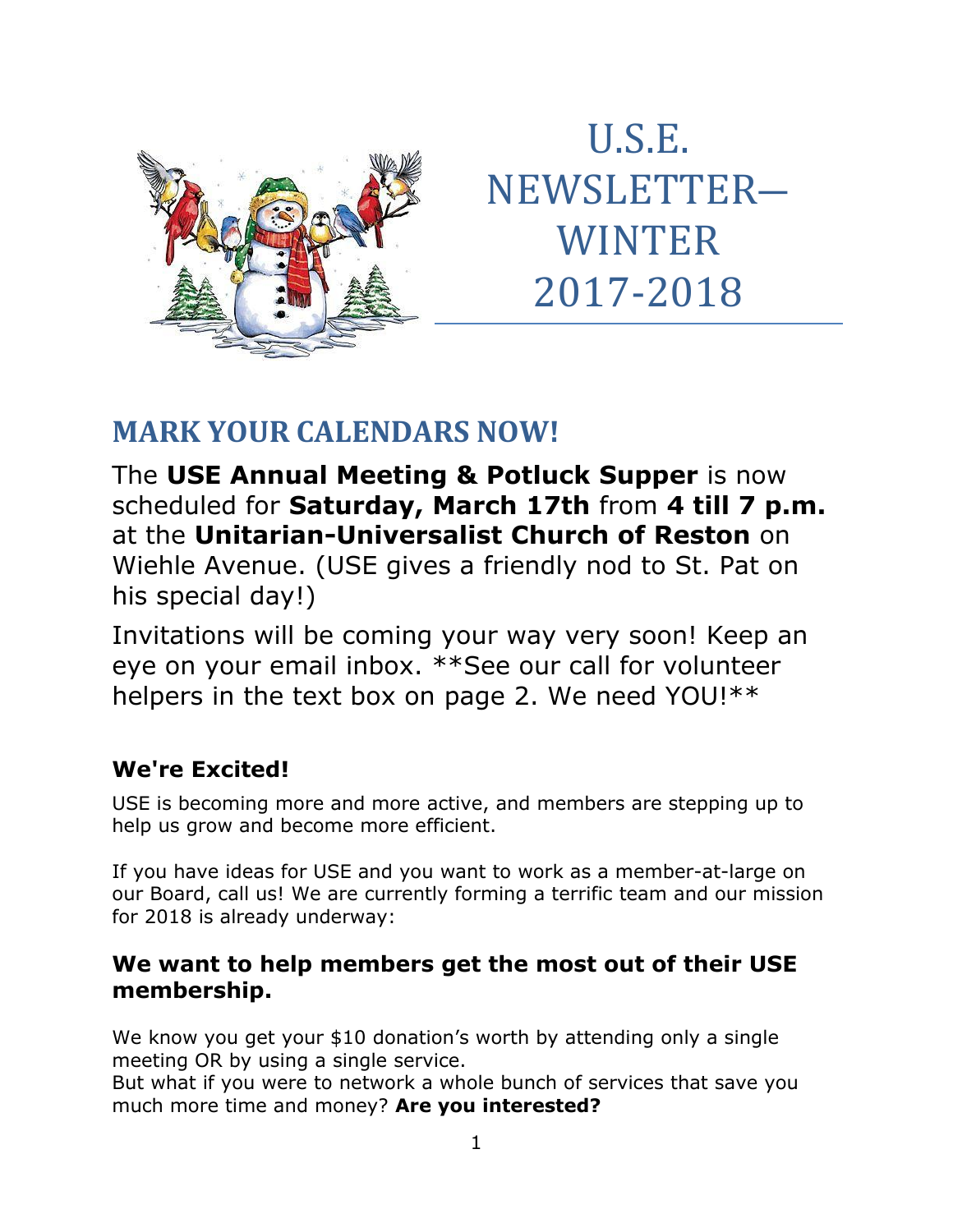

U.S.E. NEWSLETTER― WINTER 2017-2018

# **MARK YOUR CALENDARS NOW!**

The **USE Annual Meeting & Potluck Supper** is now scheduled for **Saturday, March 17th** from **4 till 7 p.m.** at the **Unitarian-Universalist Church of Reston** on Wiehle Avenue. (USE gives a friendly nod to St. Pat on his special day!)

Invitations will be coming your way very soon! Keep an eye on your email inbox. \*\*See our call for volunteer helpers in the text box on page 2. We need YOU!\*\*

## **We're Excited!**

USE is becoming more and more active, and members are stepping up to help us grow and become more efficient.

If you have ideas for USE and you want to work as a member-at-large on our Board, call us! We are currently forming a terrific team and our mission for 2018 is already underway:

#### **We want to help members get the most out of their USE membership.**

We know you get your \$10 donation's worth by attending only a single meeting OR by using a single service.

But what if you were to network a whole bunch of services that save you much more time and money? **Are you interested?**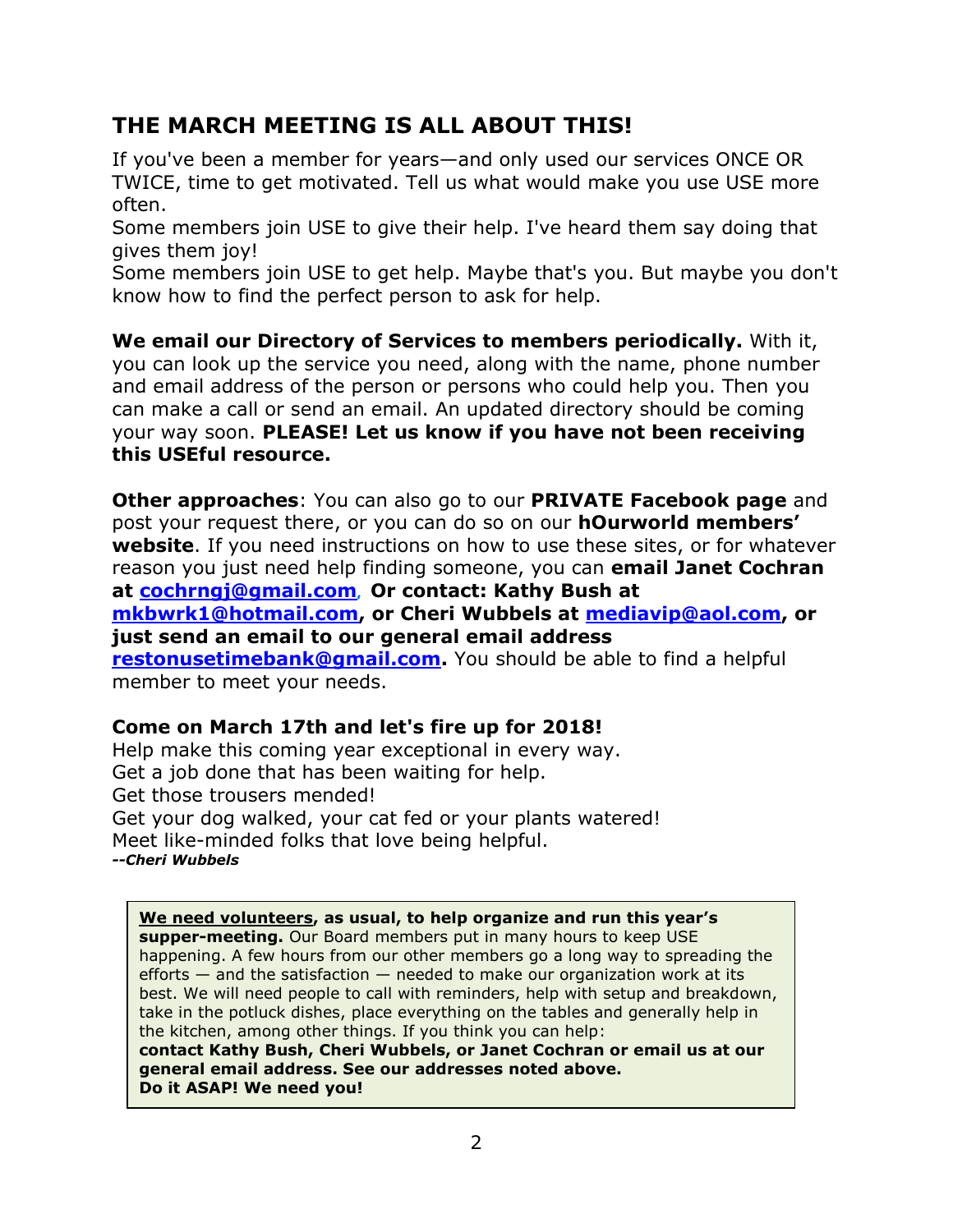#### **THE MARCH MEETING IS ALL ABOUT THIS!**

If you've been a member for years—and only used our services ONCE OR TWICE, time to get motivated. Tell us what would make you use USE more often.

Some members join USE to give their help. I've heard them say doing that gives them joy!

Some members join USE to get help. Maybe that's you. But maybe you don't know how to find the perfect person to ask for help.

**We email our Directory of Services to members periodically.** With it, you can look up the service you need, along with the name, phone number and email address of the person or persons who could help you. Then you can make a call or send an email. An updated directory should be coming your way soon. **PLEASE! Let us know if you have not been receiving this USEful resource.**

**Other approaches**: You can also go to our **PRIVATE Facebook page** and post your request there, or you can do so on our **hOurworld members' website**. If you need instructions on how to use these sites, or for whatever reason you just need help finding someone, you can **email Janet Cochran at [cochrngj@gmail.com](mailto:cochrngj@gmail.com), Or contact: Kathy Bush at [mkbwrk1@hotmail.com,](mailto:mkbwrk1@hotmail.com) or Cheri Wubbels at [mediavip@aol.com,](mailto:mediavip@aol.com) or just send an email to our general email address [restonusetimebank@gmail.com.](mailto:restonusetimebank@gmail.com)** You should be able to find a helpful member to meet your needs.

**Come on March 17th and let's fire up for 2018!**

Help make this coming year exceptional in every way. Get a job done that has been waiting for help. Get those trousers mended! Get your dog walked, your cat fed or your plants watered! Meet like-minded folks that love being helpful. *--Cheri Wubbels*

**We need volunteers, as usual, to help organize and run this year's supper-meeting.** Our Board members put in many hours to keep USE happening. A few hours from our other members go a long way to spreading the efforts  $-$  and the satisfaction  $-$  needed to make our organization work at its best. We will need people to call with reminders, help with setup and breakdown, take in the potluck dishes, place everything on the tables and generally help in the kitchen, among other things. If you think you can help: **contact Kathy Bush, Cheri Wubbels, or Janet Cochran or email us at our general email address. See our addresses noted above. Do it ASAP! We need you!**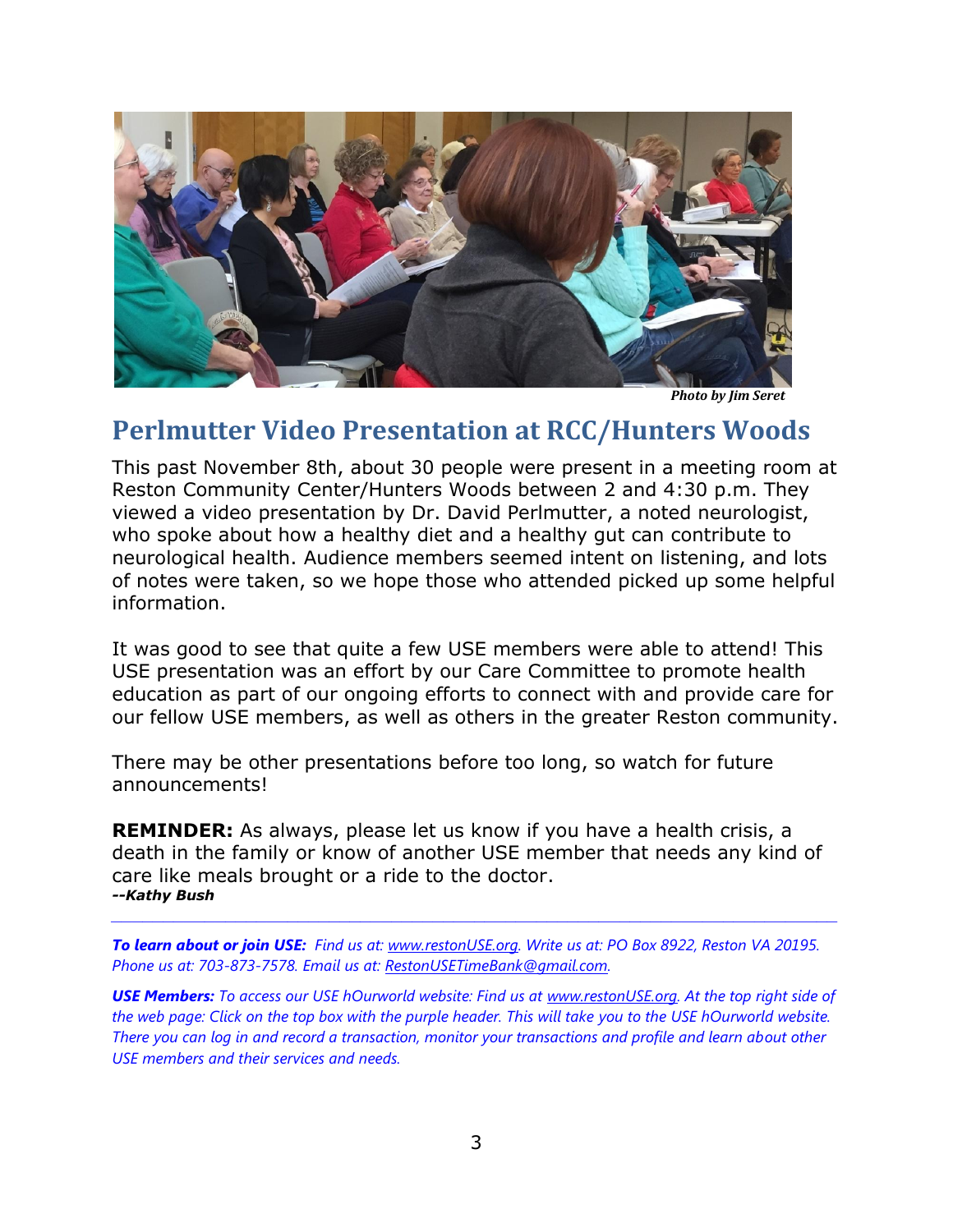

*Photo by Jim Seret*

#### **Perlmutter Video Presentation at RCC/Hunters Woods**

This past November 8th, about 30 people were present in a meeting room at Reston Community Center/Hunters Woods between 2 and 4:30 p.m. They viewed a video presentation by Dr. David Perlmutter, a noted neurologist, who spoke about how a healthy diet and a healthy gut can contribute to neurological health. Audience members seemed intent on listening, and lots of notes were taken, so we hope those who attended picked up some helpful information.

It was good to see that quite a few USE members were able to attend! This USE presentation was an effort by our Care Committee to promote health education as part of our ongoing efforts to connect with and provide care for our fellow USE members, as well as others in the greater Reston community.

There may be other presentations before too long, so watch for future announcements!

**REMINDER:** As always, please let us know if you have a health crisis, a death in the family or know of another USE member that needs any kind of care like meals brought or a ride to the doctor. *--Kathy Bush \_\_\_\_\_\_\_\_\_\_\_\_\_\_\_\_\_\_\_\_\_\_\_\_\_\_\_\_\_\_\_\_\_\_\_\_\_\_\_\_\_\_\_\_\_\_\_\_\_\_\_\_\_\_\_\_\_\_\_\_\_\_\_\_\_\_\_\_\_\_*

*To learn about or join USE: Find us at: [www.restonUSE.org.](http://www.restonuse.org/) Write us at: PO Box 8922, Reston VA 20195. Phone us at: 703-873-7578. Email us at: [RestonUSETimeBank@gmail.com.](mailto:RestonUSETimeBank@gmail.com)*

*USE Members: To access our USE hOurworld website: Find us at [www.restonUSE.org.](http://www.restonuse.org/) At the top right side of the web page: Click on the top box with the purple header. This will take you to the USE hOurworld website. There you can log in and record a transaction, monitor your transactions and profile and learn about other USE members and their services and needs.*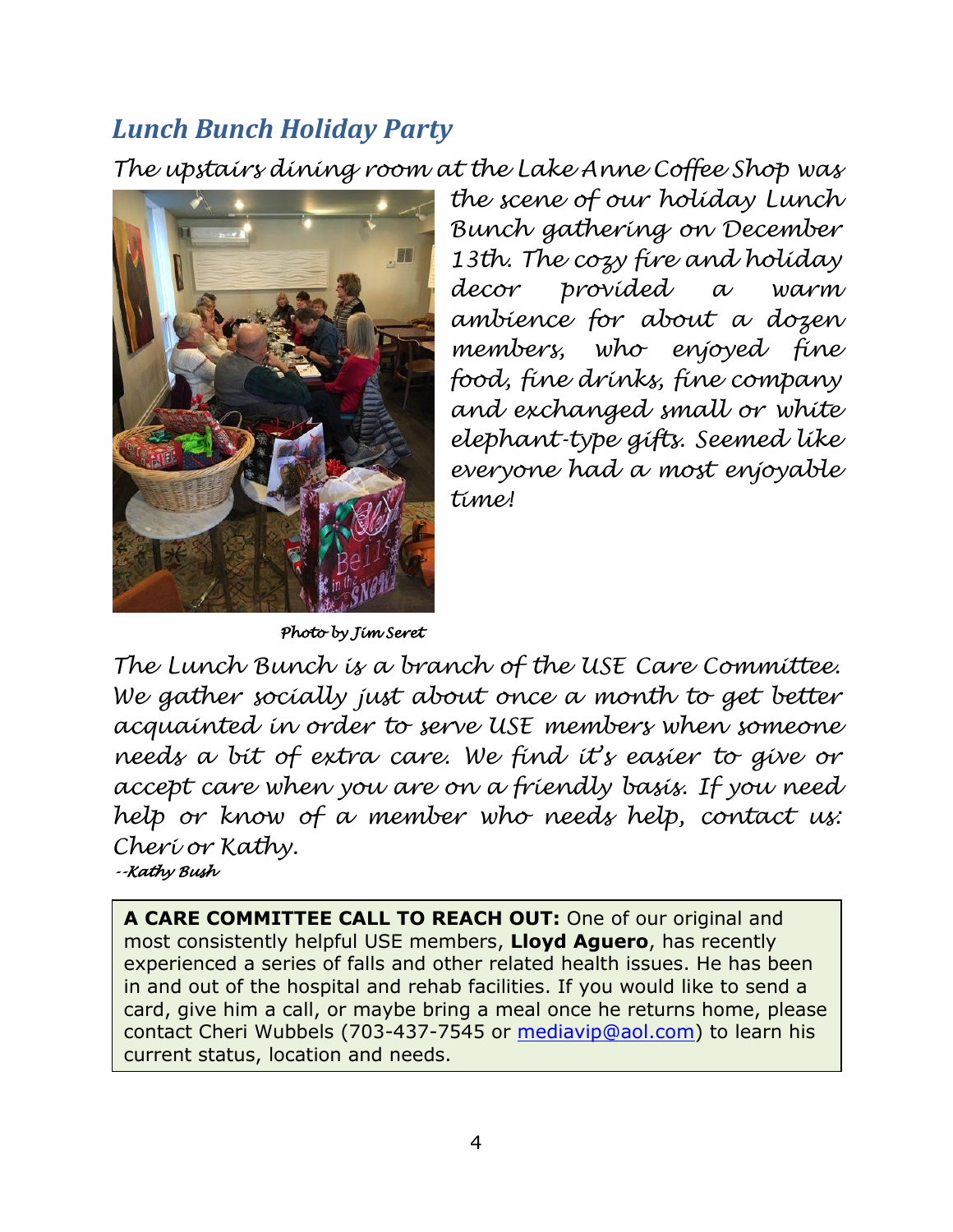## *Lunch Bunch Holiday Party*

*The upstairs dining room at the Lake Anne Coffee Shop was* 



*Photo by Jim Seret* 

*the scene of our holiday Lunch Bunch gathering on December 13th. The cozy fire and holiday decor provided a warm ambience for about a dozen members, who enjoyed fine food, fine drinks, fine company and exchanged small or white elephant-type gifts. Seemed like everyone had a most enjoyable time!*

*The Lunch Bunch is a branch of the USE Care Committee. We gather socially just about once a month to get better acquainted in order to serve USE members when someone needs a bit of extra care. We find it's easier to give or accept care when you are on a friendly basis. If you need help or know of a member who needs help, contact us: Cheri or Kathy.*

*--Kathy Bush* 

**A CARE COMMITTEE CALL TO REACH OUT:** One of our original and most consistently helpful USE members, **Lloyd Aguero**, has recently experienced a series of falls and other related health issues. He has been in and out of the hospital and rehab facilities. If you would like to send a card, give him a call, or maybe bring a meal once he returns home, please contact Cheri Wubbels (703-437-7545 or [mediavip@aol.com\)](mailto:mediavip@aol.com) to learn his current status, location and needs.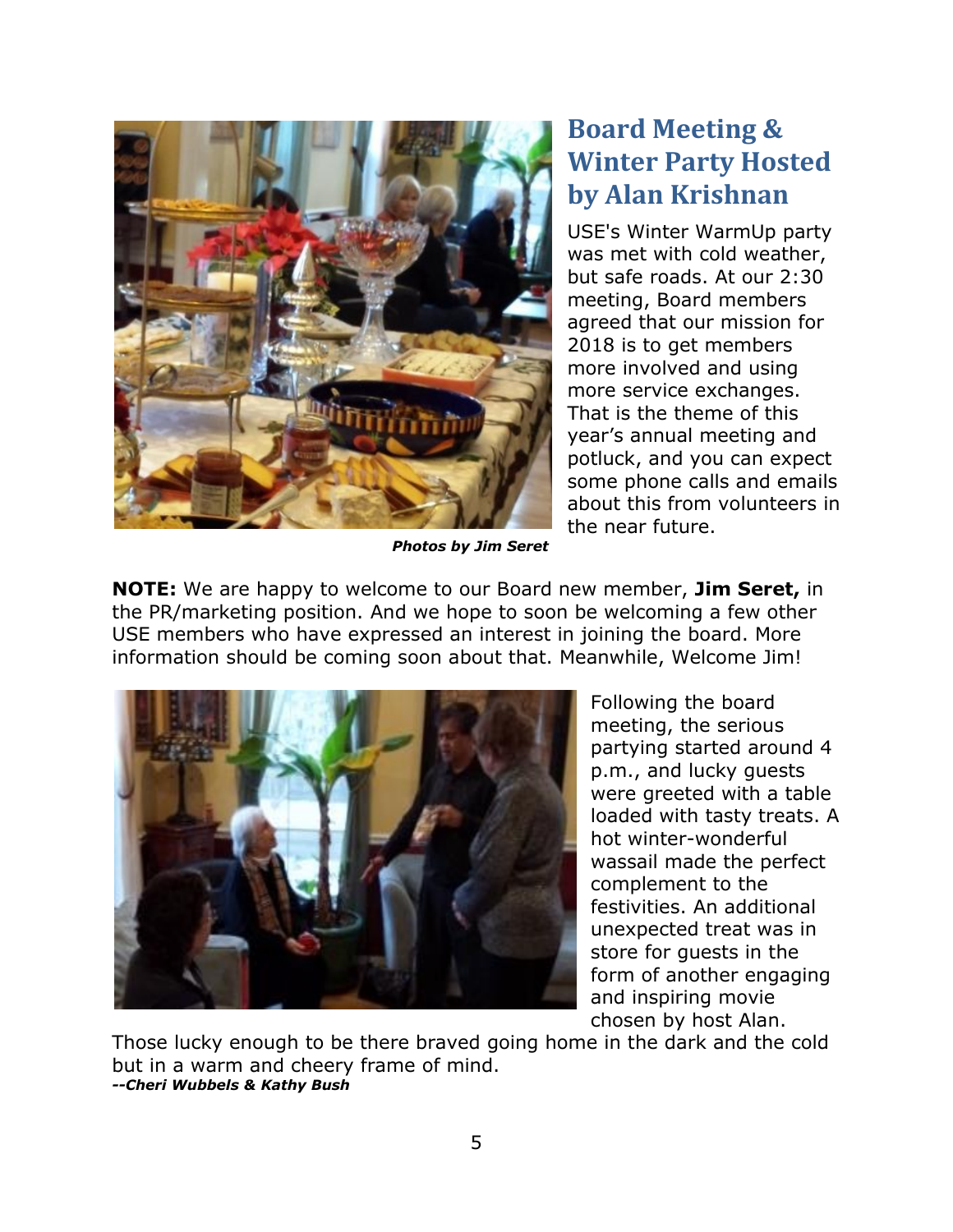

## **Board Meeting & Winter Party Hosted by Alan Krishnan**

USE's Winter WarmUp party was met with cold weather, but safe roads. At our 2:30 meeting, Board members agreed that our mission for 2018 is to get members more involved and using more service exchanges. That is the theme of this year's annual meeting and potluck, and you can expect some phone calls and emails about this from volunteers in the near future.

*Photos by Jim Seret*

**NOTE:** We are happy to welcome to our Board new member, **Jim Seret,** in the PR/marketing position. And we hope to soon be welcoming a few other USE members who have expressed an interest in joining the board. More information should be coming soon about that. Meanwhile, Welcome Jim!



Following the board meeting, the serious partying started around 4 p.m., and lucky guests were greeted with a table loaded with tasty treats. A hot winter-wonderful wassail made the perfect complement to the festivities. An additional unexpected treat was in store for guests in the form of another engaging and inspiring movie chosen by host Alan.

Those lucky enough to be there braved going home in the dark and the cold but in a warm and cheery frame of mind. *--Cheri Wubbels & Kathy Bush*